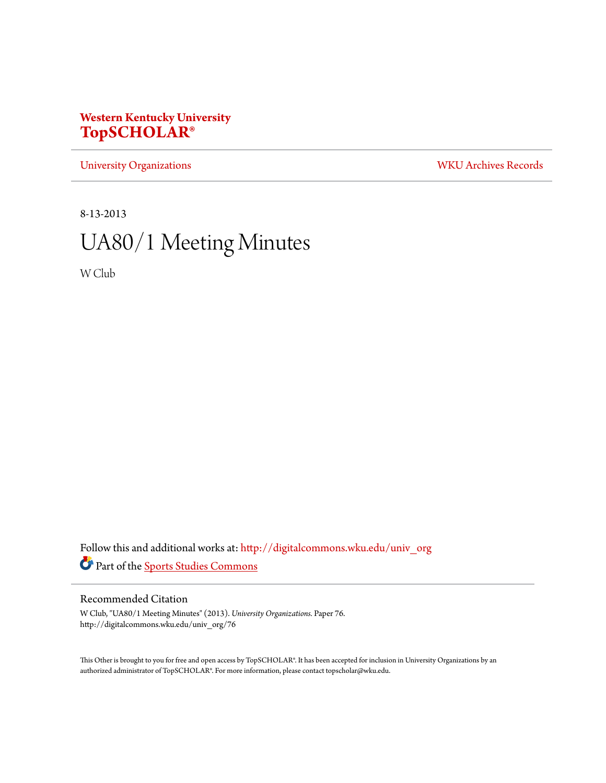## **Western Kentucky University [TopSCHOLAR®](http://digitalcommons.wku.edu?utm_source=digitalcommons.wku.edu%2Funiv_org%2F76&utm_medium=PDF&utm_campaign=PDFCoverPages)**

[University Organizations](http://digitalcommons.wku.edu/univ_org?utm_source=digitalcommons.wku.edu%2Funiv_org%2F76&utm_medium=PDF&utm_campaign=PDFCoverPages) [WKU Archives Records](http://digitalcommons.wku.edu/dlsc_ua_records?utm_source=digitalcommons.wku.edu%2Funiv_org%2F76&utm_medium=PDF&utm_campaign=PDFCoverPages)

8-13-2013

# UA80/1 Meeting Minutes

W Club

Follow this and additional works at: [http://digitalcommons.wku.edu/univ\\_org](http://digitalcommons.wku.edu/univ_org?utm_source=digitalcommons.wku.edu%2Funiv_org%2F76&utm_medium=PDF&utm_campaign=PDFCoverPages) Part of the [Sports Studies Commons](http://network.bepress.com/hgg/discipline/1198?utm_source=digitalcommons.wku.edu%2Funiv_org%2F76&utm_medium=PDF&utm_campaign=PDFCoverPages)

## Recommended Citation

W Club, "UA80/1 Meeting Minutes" (2013). *University Organizations.* Paper 76. http://digitalcommons.wku.edu/univ\_org/76

This Other is brought to you for free and open access by TopSCHOLAR®. It has been accepted for inclusion in University Organizations by an authorized administrator of TopSCHOLAR®. For more information, please contact topscholar@wku.edu.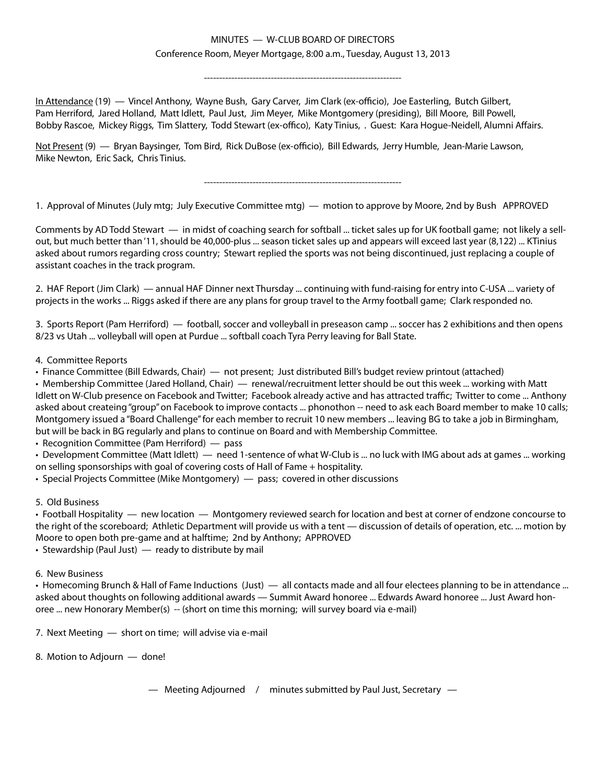## MINUTES — W-CLUB BOARD OF DIRECTORS Conference Room, Meyer Mortgage, 8:00 a.m., Tuesday, August 13, 2013

-----------------------------------------------------------------

In Attendance (19) — Vincel Anthony, Wayne Bush, Gary Carver, Jim Clark (ex-officio), Joe Easterling, Butch Gilbert, Pam Herriford, Jared Holland, Matt Idlett, Paul Just, Jim Meyer, Mike Montgomery (presiding), Bill Moore, Bill Powell, Bobby Rascoe, Mickey Riggs, Tim Slattery, Todd Stewart (ex-offico), Katy Tinius, . Guest: Kara Hogue-Neidell, Alumni Affairs.

Not Present (9) - Bryan Baysinger, Tom Bird, Rick DuBose (ex-officio), Bill Edwards, Jerry Humble, Jean-Marie Lawson, Mike Newton, Eric Sack, Chris Tinius.

-----------------------------------------------------------------

1. Approval of Minutes (July mtg; July Executive Committee mtg) — motion to approve by Moore, 2nd by Bush APPROVED

Comments by AD Todd Stewart — in midst of coaching search for softball ... ticket sales up for UK football game; not likely a sellout, but much better than '11, should be 40,000-plus ... season ticket sales up and appears will exceed last year (8,122) ... KTinius asked about rumors regarding cross country; Stewart replied the sports was not being discontinued, just replacing a couple of assistant coaches in the track program.

2. HAF Report (Jim Clark) — annual HAF Dinner next Thursday ... continuing with fund-raising for entry into C-USA ... variety of projects in the works ... Riggs asked if there are any plans for group travel to the Army football game; Clark responded no.

3. Sports Report (Pam Herriford) — football, soccer and volleyball in preseason camp ... soccer has 2 exhibitions and then opens 8/23 vs Utah ... volleyball will open at Purdue ... softball coach Tyra Perry leaving for Ball State.

#### 4. Committee Reports

• Finance Committee (Bill Edwards, Chair) — not present; Just distributed Bill's budget review printout (attached)

• Membership Committee (Jared Holland, Chair) — renewal/recruitment letter should be out this week ... working with Matt Idlett on W-Club presence on Facebook and Twitter; Facebook already active and has attracted traffic; Twitter to come ... Anthony asked about createing "group" on Facebook to improve contacts ... phonothon -- need to ask each Board member to make 10 calls; Montgomery issued a "Board Challenge" for each member to recruit 10 new members ... leaving BG to take a job in Birmingham, but will be back in BG regularly and plans to continue on Board and with Membership Committee.

• Recognition Committee (Pam Herriford) — pass

• Development Committee (Matt Idlett) — need 1-sentence of what W-Club is ... no luck with IMG about ads at games ... working on selling sponsorships with goal of covering costs of Hall of Fame + hospitality.

• Special Projects Committee (Mike Montgomery) — pass; covered in other discussions

#### 5. Old Business

• Football Hospitality — new location — Montgomery reviewed search for location and best at corner of endzone concourse to the right of the scoreboard; Athletic Department will provide us with a tent — discussion of details of operation, etc. ... motion by Moore to open both pre-game and at halftime; 2nd by Anthony; APPROVED

• Stewardship (Paul Just) — ready to distribute by mail

#### 6. New Business

• Homecoming Brunch & Hall of Fame Inductions (Just) — all contacts made and all four electees planning to be in attendance ... asked about thoughts on following additional awards — Summit Award honoree ... Edwards Award honoree ... Just Award honoree ... new Honorary Member(s) -- (short on time this morning; will survey board via e-mail)

7. Next Meeting — short on time; will advise via e-mail

8. Motion to Adjourn — done!

— Meeting Adjourned / minutes submitted by Paul Just, Secretary —